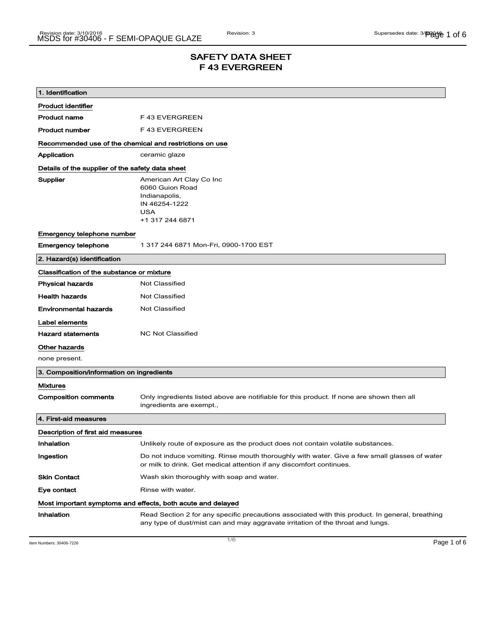## SAFETY DATA SHEET F 43 EVERGREEN

| 1. Identification                                           |                                                                                                                                                                                    |  |
|-------------------------------------------------------------|------------------------------------------------------------------------------------------------------------------------------------------------------------------------------------|--|
| <b>Product identifier</b>                                   |                                                                                                                                                                                    |  |
| <b>Product name</b>                                         | F43 EVERGREEN                                                                                                                                                                      |  |
| <b>Product number</b>                                       | F43 EVERGREEN                                                                                                                                                                      |  |
| Recommended use of the chemical and restrictions on use     |                                                                                                                                                                                    |  |
| Application                                                 | ceramic glaze                                                                                                                                                                      |  |
| Details of the supplier of the safety data sheet            |                                                                                                                                                                                    |  |
| Supplier                                                    | American Art Clay Co Inc<br>6060 Guion Road<br>Indianapolis,<br>IN 46254-1222<br><b>USA</b><br>+1 317 244 6871                                                                     |  |
| Emergency telephone number                                  |                                                                                                                                                                                    |  |
| <b>Emergency telephone</b>                                  | 1 317 244 6871 Mon-Fri, 0900-1700 EST                                                                                                                                              |  |
| 2. Hazard(s) identification                                 |                                                                                                                                                                                    |  |
| Classification of the substance or mixture                  |                                                                                                                                                                                    |  |
| <b>Physical hazards</b>                                     | <b>Not Classified</b>                                                                                                                                                              |  |
| <b>Health hazards</b>                                       | Not Classified                                                                                                                                                                     |  |
| <b>Environmental hazards</b>                                | <b>Not Classified</b>                                                                                                                                                              |  |
| Label elements                                              |                                                                                                                                                                                    |  |
| <b>Hazard statements</b>                                    | <b>NC Not Classified</b>                                                                                                                                                           |  |
| Other hazards                                               |                                                                                                                                                                                    |  |
| none present.                                               |                                                                                                                                                                                    |  |
| 3. Composition/information on ingredients                   |                                                                                                                                                                                    |  |
| <b>Mixtures</b>                                             |                                                                                                                                                                                    |  |
| <b>Composition comments</b>                                 | Only ingredients listed above are notifiable for this product. If none are shown then all<br>ingredients are exempt.,                                                              |  |
| 4. First-aid measures                                       |                                                                                                                                                                                    |  |
| Description of first aid measures                           |                                                                                                                                                                                    |  |
| Inhalation                                                  | Unlikely route of exposure as the product does not contain volatile substances.                                                                                                    |  |
| Ingestion                                                   | Do not induce vomiting. Rinse mouth thoroughly with water. Give a few small glasses of water<br>or milk to drink. Get medical attention if any discomfort continues.               |  |
| <b>Skin Contact</b>                                         | Wash skin thoroughly with soap and water.                                                                                                                                          |  |
| Eye contact                                                 | Rinse with water.                                                                                                                                                                  |  |
| Most important symptoms and effects, both acute and delayed |                                                                                                                                                                                    |  |
| Inhalation                                                  | Read Section 2 for any specific precautions associated with this product. In general, breathing<br>any type of dust/mist can and may aggravate irritation of the throat and lungs. |  |

Item Numbers: 30406-7226 **Page 1 of 6**  $\overline{1/6}$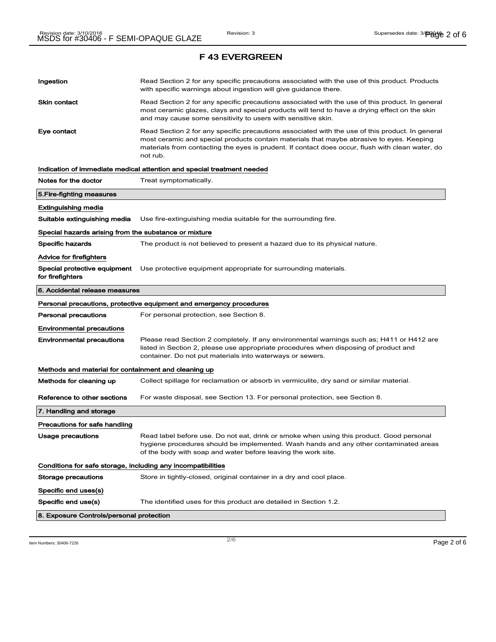| Ingestion                                                    | Read Section 2 for any specific precautions associated with the use of this product. Products<br>with specific warnings about ingestion will give guidance there.                                                                                                                                           |  |
|--------------------------------------------------------------|-------------------------------------------------------------------------------------------------------------------------------------------------------------------------------------------------------------------------------------------------------------------------------------------------------------|--|
| Skin contact                                                 | Read Section 2 for any specific precautions associated with the use of this product. In general<br>most ceramic glazes, clays and special products will tend to have a drying effect on the skin<br>and may cause some sensitivity to users with sensitive skin.                                            |  |
| Eye contact                                                  | Read Section 2 for any specific precautions associated with the use of this product. In general<br>most ceramic and special products contain materials that maybe abrasive to eyes. Keeping<br>materials from contacting the eyes is prudent. If contact does occur, flush with clean water, do<br>not rub. |  |
|                                                              | Indication of immediate medical attention and special treatment needed                                                                                                                                                                                                                                      |  |
| Notes for the doctor                                         | Treat symptomatically.                                                                                                                                                                                                                                                                                      |  |
| 5. Fire-fighting measures                                    |                                                                                                                                                                                                                                                                                                             |  |
| Extinguishing media                                          |                                                                                                                                                                                                                                                                                                             |  |
| Suitable extinguishing media                                 | Use fire-extinguishing media suitable for the surrounding fire.                                                                                                                                                                                                                                             |  |
| Special hazards arising from the substance or mixture        |                                                                                                                                                                                                                                                                                                             |  |
| <b>Specific hazards</b>                                      | The product is not believed to present a hazard due to its physical nature.                                                                                                                                                                                                                                 |  |
| <b>Advice for firefighters</b>                               |                                                                                                                                                                                                                                                                                                             |  |
| Special protective equipment<br>for firefighters             | Use protective equipment appropriate for surrounding materials.                                                                                                                                                                                                                                             |  |
| 6. Accidental release measures                               |                                                                                                                                                                                                                                                                                                             |  |
|                                                              | Personal precautions, protective equipment and emergency procedures                                                                                                                                                                                                                                         |  |
| <b>Personal precautions</b>                                  | For personal protection, see Section 8.                                                                                                                                                                                                                                                                     |  |
| <b>Environmental precautions</b>                             |                                                                                                                                                                                                                                                                                                             |  |
| <b>Environmental precautions</b>                             | Please read Section 2 completely. If any environmental warnings such as; H411 or H412 are<br>listed in Section 2, please use appropriate procedures when disposing of product and<br>container. Do not put materials into waterways or sewers.                                                              |  |
| Methods and material for containment and cleaning up         |                                                                                                                                                                                                                                                                                                             |  |
| Methods for cleaning up                                      | Collect spillage for reclamation or absorb in vermiculite, dry sand or similar material.                                                                                                                                                                                                                    |  |
| Reference to other sections                                  | For waste disposal, see Section 13. For personal protection, see Section 8.                                                                                                                                                                                                                                 |  |
| 7. Handling and storage                                      |                                                                                                                                                                                                                                                                                                             |  |
| Precautions for safe handling                                |                                                                                                                                                                                                                                                                                                             |  |
| Usage precautions                                            | Read label before use. Do not eat, drink or smoke when using this product. Good personal<br>hygiene procedures should be implemented. Wash hands and any other contaminated areas<br>of the body with soap and water before leaving the work site.                                                          |  |
| Conditions for safe storage, including any incompatibilities |                                                                                                                                                                                                                                                                                                             |  |
| Storage precautions                                          | Store in tightly-closed, original container in a dry and cool place.                                                                                                                                                                                                                                        |  |
| Specific end uses(s)                                         |                                                                                                                                                                                                                                                                                                             |  |
| Specific end use(s)                                          | The identified uses for this product are detailed in Section 1.2.                                                                                                                                                                                                                                           |  |
| 8. Exposure Controls/personal protection                     |                                                                                                                                                                                                                                                                                                             |  |

Item Numbers:  $30406-7226$   $Page 2 of 6$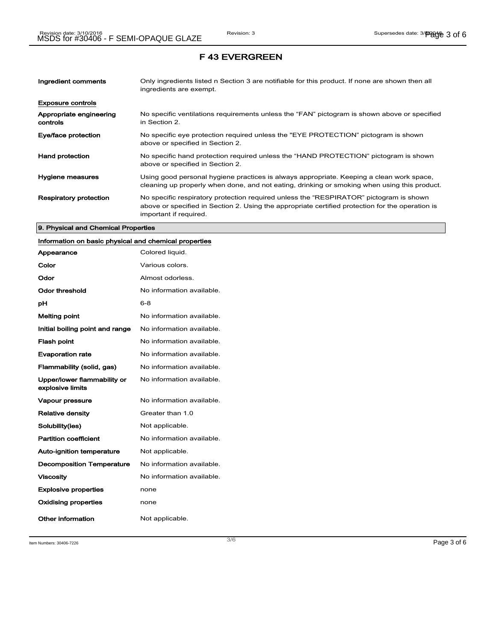| Ingredient comments                 | Only ingredients listed n Section 3 are notifiable for this product. If none are shown then all<br>ingredients are exempt.                                                                                           |
|-------------------------------------|----------------------------------------------------------------------------------------------------------------------------------------------------------------------------------------------------------------------|
| <b>Exposure controls</b>            |                                                                                                                                                                                                                      |
| Appropriate engineering<br>controls | No specific ventilations requirements unless the "FAN" pictogram is shown above or specified<br>in Section 2.                                                                                                        |
| Eye/face protection                 | No specific eye protection required unless the "EYE PROTECTION" pictogram is shown<br>above or specified in Section 2.                                                                                               |
| <b>Hand protection</b>              | No specific hand protection required unless the "HAND PROTECTION" pictogram is shown<br>above or specified in Section 2.                                                                                             |
| Hygiene measures                    | Using good personal hygiene practices is always appropriate. Keeping a clean work space,<br>cleaning up properly when done, and not eating, drinking or smoking when using this product.                             |
| <b>Respiratory protection</b>       | No specific respiratory protection required unless the "RESPIRATOR" pictogram is shown<br>above or specified in Section 2. Using the appropriate certified protection for the operation is<br>important if required. |

#### 9. Physical and Chemical Properties

# Information on basic physical and chemical properties

| Appearance                                      | Colored liquid.           |
|-------------------------------------------------|---------------------------|
| Color                                           | Various colors.           |
| Odor                                            | Almost odorless.          |
| Odor threshold                                  | No information available. |
| рH                                              | 6-8                       |
| <b>Melting point</b>                            | No information available. |
| Initial boiling point and range                 | No information available. |
| <b>Flash point</b>                              | No information available. |
| <b>Evaporation rate</b>                         | No information available. |
| Flammability (solid, gas)                       | No information available. |
| Upper/lower flammability or<br>explosive limits | No information available. |
| <b>Vapour pressure</b>                          | No information available. |
| <b>Relative density</b>                         | Greater than 1.0          |
| Solubility(ies)                                 | Not applicable.           |
| <b>Partition coefficient</b>                    | No information available. |
| <b>Auto-ignition temperature</b>                | Not applicable.           |
| <b>Decomposition Temperature</b>                | No information available. |
| <b>Viscosity</b>                                | No information available. |
| <b>Explosive properties</b>                     | none                      |
| <b>Oxidising properties</b>                     | none                      |
| Other information                               | Not applicable.           |

Item Numbers:  $30406-7226$   $Page 3 of 6$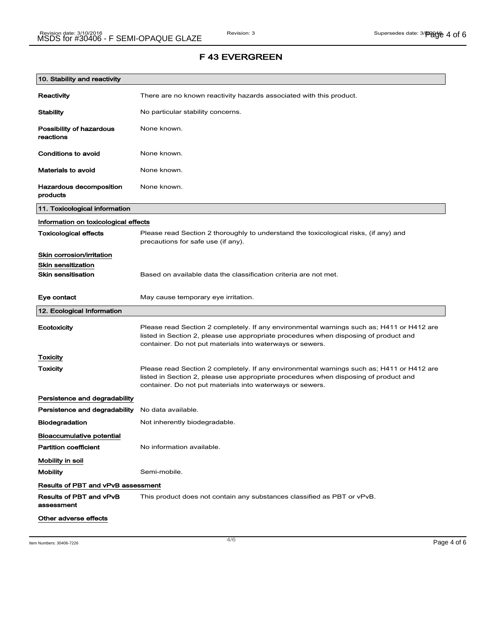| 10. Stability and reactivity               |                                                                                                                                                                                                                                                |
|--------------------------------------------|------------------------------------------------------------------------------------------------------------------------------------------------------------------------------------------------------------------------------------------------|
| Reactivity                                 | There are no known reactivity hazards associated with this product.                                                                                                                                                                            |
| <b>Stability</b>                           | No particular stability concerns.                                                                                                                                                                                                              |
| Possibility of hazardous<br>reactions      | None known.                                                                                                                                                                                                                                    |
| <b>Conditions to avoid</b>                 | None known.                                                                                                                                                                                                                                    |
| <b>Materials to avoid</b>                  | None known.                                                                                                                                                                                                                                    |
| <b>Hazardous decomposition</b><br>products | None known.                                                                                                                                                                                                                                    |
| 11. Toxicological information              |                                                                                                                                                                                                                                                |
| Information on toxicological effects       |                                                                                                                                                                                                                                                |
| <b>Toxicological effects</b>               | Please read Section 2 thoroughly to understand the toxicological risks, (if any) and<br>precautions for safe use (if any).                                                                                                                     |
| Skin corrosion/irritation                  |                                                                                                                                                                                                                                                |
| <b>Skin sensitization</b>                  |                                                                                                                                                                                                                                                |
| <b>Skin sensitisation</b>                  | Based on available data the classification criteria are not met.                                                                                                                                                                               |
| Eye contact                                | May cause temporary eye irritation.                                                                                                                                                                                                            |
| 12. Ecological Information                 |                                                                                                                                                                                                                                                |
| Ecotoxicity                                | Please read Section 2 completely. If any environmental warnings such as; H411 or H412 are<br>listed in Section 2, please use appropriate procedures when disposing of product and<br>container. Do not put materials into waterways or sewers. |
| <b>Toxicity</b>                            |                                                                                                                                                                                                                                                |
| Toxicity                                   | Please read Section 2 completely. If any environmental warnings such as; H411 or H412 are<br>listed in Section 2, please use appropriate procedures when disposing of product and<br>container. Do not put materials into waterways or sewers. |
| Persistence and degradability              |                                                                                                                                                                                                                                                |
| Persistence and degradability              | No data available.                                                                                                                                                                                                                             |
| <b>Biodegradation</b>                      | Not inherently biodegradable.                                                                                                                                                                                                                  |
| <b>Bioaccumulative potential</b>           |                                                                                                                                                                                                                                                |
| <b>Partition coefficient</b>               | No information available.                                                                                                                                                                                                                      |
| Mobility in soil                           |                                                                                                                                                                                                                                                |
| <b>Mobility</b>                            | Semi-mobile.                                                                                                                                                                                                                                   |
| <b>Results of PBT and vPvB assessment</b>  |                                                                                                                                                                                                                                                |
| Results of PBT and vPvB<br>assessment      | This product does not contain any substances classified as PBT or vPvB.                                                                                                                                                                        |
| Other adverse effects                      |                                                                                                                                                                                                                                                |

Item Numbers:  $30406-7226$   $Page 4 of 6$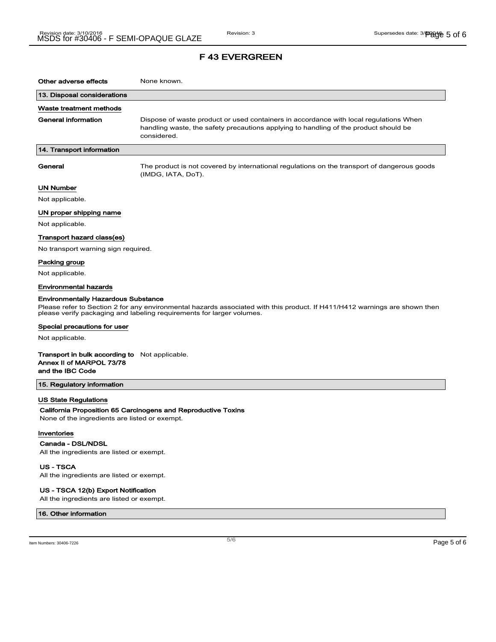### F 43 EVERGREEN

| Other adverse effects                                                                                                                                                                                                                             | None known.                                                                                                                                                                                  |
|---------------------------------------------------------------------------------------------------------------------------------------------------------------------------------------------------------------------------------------------------|----------------------------------------------------------------------------------------------------------------------------------------------------------------------------------------------|
| 13. Disposal considerations                                                                                                                                                                                                                       |                                                                                                                                                                                              |
| Waste treatment methods                                                                                                                                                                                                                           |                                                                                                                                                                                              |
| <b>General information</b>                                                                                                                                                                                                                        | Dispose of waste product or used containers in accordance with local regulations When<br>handling waste, the safety precautions applying to handling of the product should be<br>considered. |
| 14. Transport information                                                                                                                                                                                                                         |                                                                                                                                                                                              |
| General                                                                                                                                                                                                                                           | The product is not covered by international regulations on the transport of dangerous goods<br>(IMDG, IATA, DoT).                                                                            |
| <b>UN Number</b>                                                                                                                                                                                                                                  |                                                                                                                                                                                              |
| Not applicable.                                                                                                                                                                                                                                   |                                                                                                                                                                                              |
| UN proper shipping name                                                                                                                                                                                                                           |                                                                                                                                                                                              |
| Not applicable.                                                                                                                                                                                                                                   |                                                                                                                                                                                              |
| Transport hazard class(es)                                                                                                                                                                                                                        |                                                                                                                                                                                              |
| No transport warning sign required.                                                                                                                                                                                                               |                                                                                                                                                                                              |
| Packing group                                                                                                                                                                                                                                     |                                                                                                                                                                                              |
| Not applicable.                                                                                                                                                                                                                                   |                                                                                                                                                                                              |
| <b>Environmental hazards</b>                                                                                                                                                                                                                      |                                                                                                                                                                                              |
| <b>Environmentally Hazardous Substance</b><br>Please refer to Section 2 for any environmental hazards associated with this product. If H411/H412 warnings are shown then<br>please verify packaging and labeling requirements for larger volumes. |                                                                                                                                                                                              |
| Special precautions for user                                                                                                                                                                                                                      |                                                                                                                                                                                              |
| Not applicable.                                                                                                                                                                                                                                   |                                                                                                                                                                                              |
| <b>Transport in bulk according to</b> Not applicable.<br>Annex II of MARPOL 73/78<br>and the IBC Code                                                                                                                                             |                                                                                                                                                                                              |
| 15. Regulatory information                                                                                                                                                                                                                        |                                                                                                                                                                                              |
| <b>US State Regulations</b><br>None of the ingredients are listed or exempt.                                                                                                                                                                      | California Proposition 65 Carcinogens and Reproductive Toxins                                                                                                                                |
| Inventories<br>Canada - DSL/NDSL                                                                                                                                                                                                                  |                                                                                                                                                                                              |
| All the ingredients are listed or exempt.                                                                                                                                                                                                         |                                                                                                                                                                                              |

US - TSCA

All the ingredients are listed or exempt.

#### US - TSCA 12(b) Export Notification

All the ingredients are listed or exempt.

#### 16. Other information